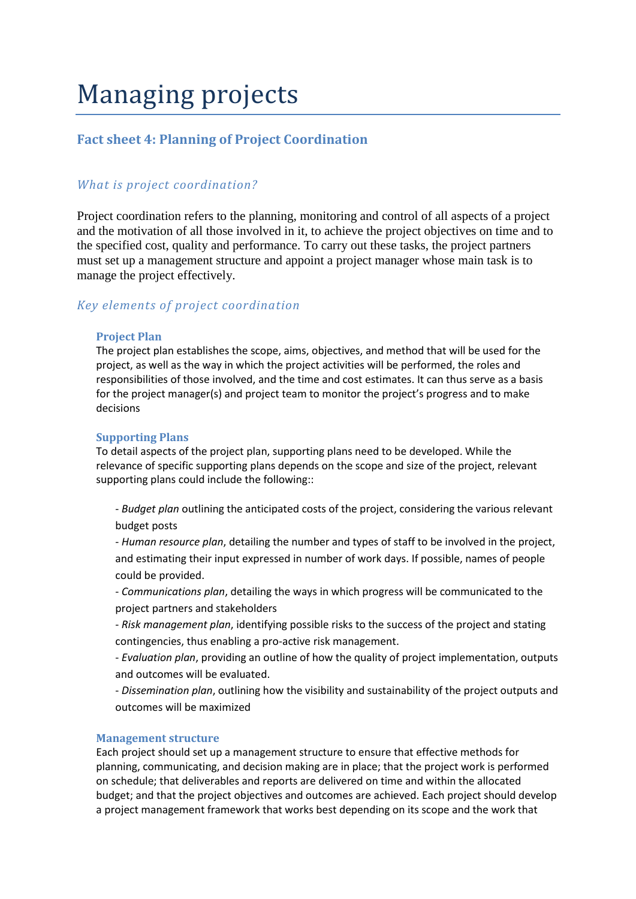# Managing projects

# **Fact sheet 4: Planning of Project Coordination**

# *What is project coordination?*

Project coordination refers to the planning, monitoring and control of all aspects of a project and the motivation of all those involved in it, to achieve the project objectives on time and to the specified cost, quality and performance. To carry out these tasks, the project partners must set up a management structure and appoint a project manager whose main task is to manage the project effectively.

# *Key elements of project coordination*

## **Project Plan**

The project plan establishes the scope, aims, objectives, and method that will be used for the project, as well as the way in which the project activities will be performed, the roles and responsibilities of those involved, and the time and cost estimates. It can thus serve as a basis for the project manager(s) and project team to monitor the project's progress and to make decisions

## **Supporting Plans**

To detail aspects of the project plan, supporting plans need to be developed. While the relevance of specific supporting plans depends on the scope and size of the project, relevant supporting plans could include the following::

- *Budget plan* outlining the anticipated costs of the project, considering the various relevant budget posts

- *Human resource plan*, detailing the number and types of staff to be involved in the project, and estimating their input expressed in number of work days. If possible, names of people could be provided.

- *Communications plan*, detailing the ways in which progress will be communicated to the project partners and stakeholders

- *Risk management plan*, identifying possible risks to the success of the project and stating contingencies, thus enabling a pro-active risk management.

- *Evaluation plan*, providing an outline of how the quality of project implementation, outputs and outcomes will be evaluated.

- *Dissemination plan*, outlining how the visibility and sustainability of the project outputs and outcomes will be maximized

### **Management structure**

Each project should set up a management structure to ensure that effective methods for planning, communicating, and decision making are in place; that the project work is performed on schedule; that deliverables and reports are delivered on time and within the allocated budget; and that the project objectives and outcomes are achieved. Each project should develop a project management framework that works best depending on its scope and the work that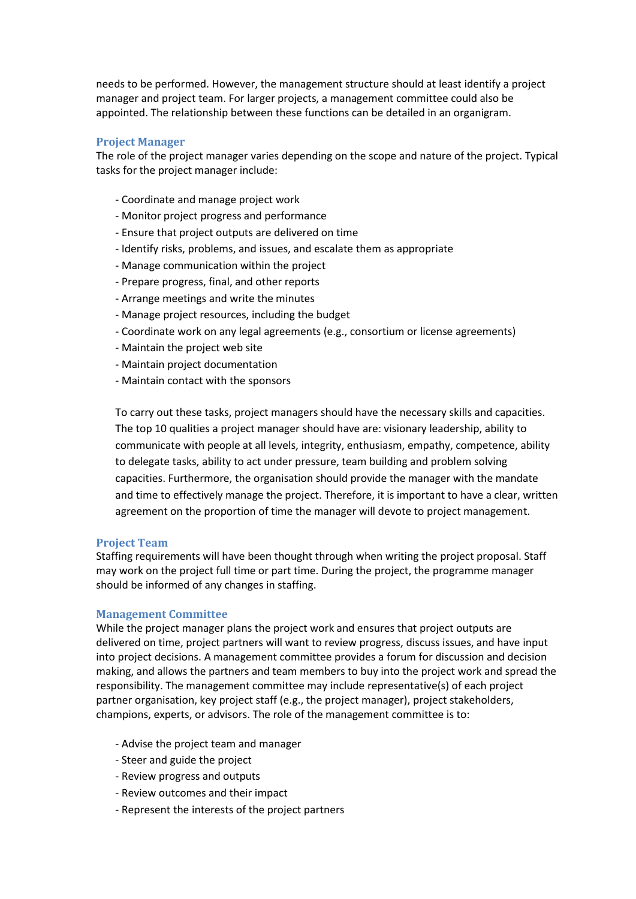needs to be performed. However, the management structure should at least identify a project manager and project team. For larger projects, a management committee could also be appointed. The relationship between these functions can be detailed in an organigram.

# **Project Manager**

The role of the project manager varies depending on the scope and nature of the project. Typical tasks for the project manager include:

- Coordinate and manage project work
- Monitor project progress and performance
- Ensure that project outputs are delivered on time
- Identify risks, problems, and issues, and escalate them as appropriate
- Manage communication within the project
- Prepare progress, final, and other reports
- Arrange meetings and write the minutes
- Manage project resources, including the budget
- Coordinate work on any legal agreements (e.g., consortium or license agreements)
- Maintain the project web site
- Maintain project documentation
- Maintain contact with the sponsors

To carry out these tasks, project managers should have the necessary skills and capacities. The top 10 qualities a project manager should have are: visionary leadership, ability to communicate with people at all levels, integrity, enthusiasm, empathy, competence, ability to delegate tasks, ability to act under pressure, team building and problem solving capacities. Furthermore, the organisation should provide the manager with the mandate and time to effectively manage the project. Therefore, it is important to have a clear, written agreement on the proportion of time the manager will devote to project management.

#### **Project Team**

Staffing requirements will have been thought through when writing the project proposal. Staff may work on the project full time or part time. During the project, the programme manager should be informed of any changes in staffing.

#### **Management Committee**

While the project manager plans the project work and ensures that project outputs are delivered on time, project partners will want to review progress, discuss issues, and have input into project decisions. A management committee provides a forum for discussion and decision making, and allows the partners and team members to buy into the project work and spread the responsibility. The management committee may include representative(s) of each project partner organisation, key project staff (e.g., the project manager), project stakeholders, champions, experts, or advisors. The role of the management committee is to:

- Advise the project team and manager
- Steer and guide the project
- Review progress and outputs
- Review outcomes and their impact
- Represent the interests of the project partners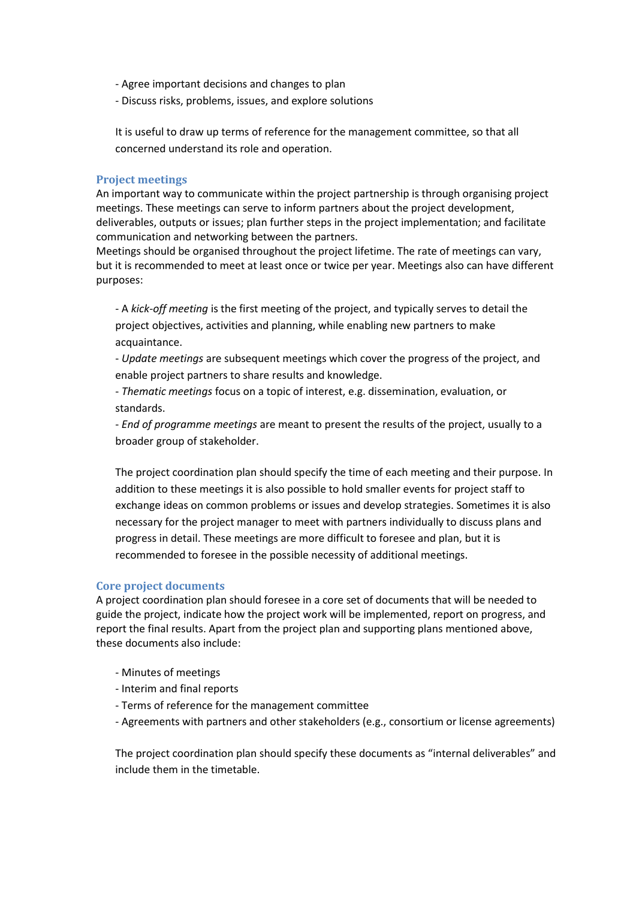- Agree important decisions and changes to plan
- Discuss risks, problems, issues, and explore solutions

It is useful to draw up terms of reference for the management committee, so that all concerned understand its role and operation.

## **Project meetings**

An important way to communicate within the project partnership is through organising project meetings. These meetings can serve to inform partners about the project development, deliverables, outputs or issues; plan further steps in the project implementation; and facilitate communication and networking between the partners.

Meetings should be organised throughout the project lifetime. The rate of meetings can vary, but it is recommended to meet at least once or twice per year. Meetings also can have different purposes:

- A *kick-off meeting* is the first meeting of the project, and typically serves to detail the project objectives, activities and planning, while enabling new partners to make acquaintance.

- *Update meetings* are subsequent meetings which cover the progress of the project, and enable project partners to share results and knowledge.

- *Thematic meetings* focus on a topic of interest, e.g. dissemination, evaluation, or standards.

- *End of programme meetings* are meant to present the results of the project, usually to a broader group of stakeholder.

The project coordination plan should specify the time of each meeting and their purpose. In addition to these meetings it is also possible to hold smaller events for project staff to exchange ideas on common problems or issues and develop strategies. Sometimes it is also necessary for the project manager to meet with partners individually to discuss plans and progress in detail. These meetings are more difficult to foresee and plan, but it is recommended to foresee in the possible necessity of additional meetings.

#### **Core project documents**

A project coordination plan should foresee in a core set of documents that will be needed to guide the project, indicate how the project work will be implemented, report on progress, and report the final results. Apart from the project plan and supporting plans mentioned above, these documents also include:

- Minutes of meetings
- Interim and final reports
- Terms of reference for the management committee
- Agreements with partners and other stakeholders (e.g., consortium or license agreements)

The project coordination plan should specify these documents as "internal deliverables" and include them in the timetable.